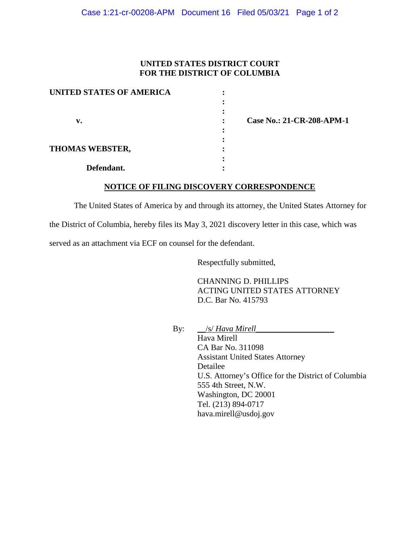## **UNITED STATES DISTRICT COURT FOR THE DISTRICT OF COLUMBIA**

| <b>UNITED STATES OF AMERICA</b> |  |
|---------------------------------|--|
|                                 |  |
|                                 |  |
| v.                              |  |
|                                 |  |
|                                 |  |
| <b>THOMAS WEBSTER,</b>          |  |
|                                 |  |
| Defendant.                      |  |

 **v. : Case No.: 21-CR-208-APM-1**

## **NOTICE OF FILING DISCOVERY CORRESPONDENCE**

The United States of America by and through its attorney, the United States Attorney for

the District of Columbia, hereby files its May 3, 2021 discovery letter in this case, which was

served as an attachment via ECF on counsel for the defendant.

Respectfully submitted,

CHANNING D. PHILLIPS ACTING UNITED STATES ATTORNEY D.C. Bar No. 415793

|--|

By: \_\_/s/ *Hava Mirell\_\_\_\_\_\_\_\_\_\_\_\_\_\_\_\_\_\_\_*

Hava Mirell CA Bar No. 311098 Assistant United States Attorney Detailee U.S. Attorney's Office for the District of Columbia 555 4th Street, N.W. Washington, DC 20001 Tel. (213) 894-0717 hava.mirell@usdoj.gov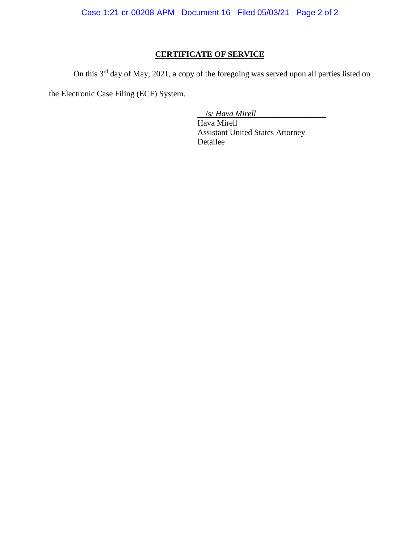Case 1:21-cr-00208-APM Document 16 Filed 05/03/21 Page 2 of 2

## **CERTIFICATE OF SERVICE**

On this 3<sup>rd</sup> day of May, 2021, a copy of the foregoing was served upon all parties listed on

the Electronic Case Filing (ECF) System.

\_\_/s/ *Hava Mirell\_\_\_\_\_\_\_\_\_\_\_\_\_\_\_\_\_*

Hava Mirell Assistant United States Attorney Detailee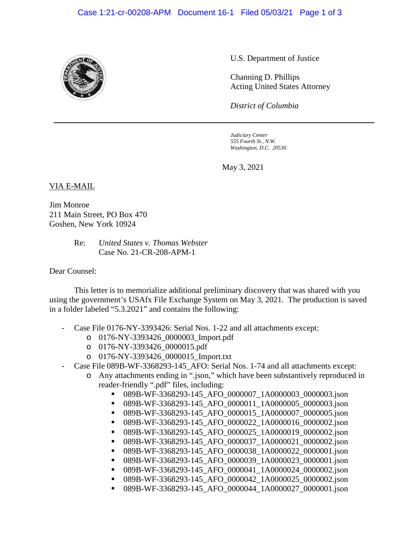## Case 1:21-cr-00208-APM Document 16-1 Filed 05/03/21 Page 1 of 3



U.S. Department of Justice

Channing D. Phillips Acting United States Attorney

*District of Columbia*

*Judiciary Center 555 Fourth St., N.W. Washington, D.C. 20530*

May 3, 2021

VIA E-MAIL

Jim Monroe 211 Main Street, PO Box 470 Goshen, New York 10924

> Re: *United States v. Thomas Webster* Case No. 21-CR-208-APM-1

Dear Counsel:

This letter is to memorialize additional preliminary discovery that was shared with you using the government's USAfx File Exchange System on May 3, 2021. The production is saved in a folder labeled "5.3.2021" and contains the following:

- Case File 0176-NY-3393426: Serial Nos. 1-22 and all attachments except:
	- o 0176-NY-3393426\_0000003\_Import.pdf
	- o 0176-NY-3393426\_0000015.pdf
	- o 0176-NY-3393426\_0000015\_Import.txt
- Case File 089B-WF-3368293-145 AFO: Serial Nos. 1-74 and all attachments except:
	- o Any attachments ending in ".json," which have been substantively reproduced in reader-friendly ".pdf" files, including:
		- 089B-WF-3368293-145\_AFO\_0000007\_1A0000003\_0000003.json
		- 089B-WF-3368293-145\_AFO\_0000011\_1A0000005\_0000003.json
		- 089B-WF-3368293-145\_AFO\_0000015\_1A0000007\_0000005.json
		- 089B-WF-3368293-145\_AFO\_0000022\_1A0000016\_0000002.json
		- 089B-WF-3368293-145\_AFO\_0000025\_1A0000019\_0000002.json
		- 089B-WF-3368293-145\_AFO\_0000037\_1A0000021\_0000002.json
		- 089B-WF-3368293-145\_AFO\_0000038\_1A0000022\_0000001.json
		- 089B-WF-3368293-145\_AFO\_0000039\_1A0000023\_0000001.json
		- 089B-WF-3368293-145\_AFO\_0000041\_1A0000024\_0000002.json
		- 089B-WF-3368293-145\_AFO\_0000042\_1A0000025\_0000002.json
		- 089B-WF-3368293-145\_AFO\_0000044\_1A0000027\_0000001.json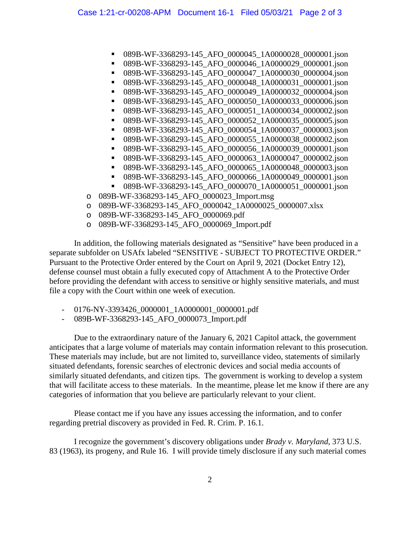- 089B-WF-3368293-145\_AFO\_0000045\_1A0000028\_0000001.json
- 089B-WF-3368293-145\_AFO\_0000046\_1A0000029\_0000001.json
- 089B-WF-3368293-145\_AFO\_0000047\_1A0000030\_0000004.json
- 089B-WF-3368293-145\_AFO\_0000048\_1A0000031\_0000001.json
- 089B-WF-3368293-145\_AFO\_0000049\_1A0000032\_0000004.json
- 089B-WF-3368293-145\_AFO\_0000050\_1A0000033\_0000006.json
- 089B-WF-3368293-145\_AFO\_0000051\_1A0000034\_0000002.json
- 089B-WF-3368293-145\_AFO\_0000052\_1A0000035\_0000005.json
- 089B-WF-3368293-145\_AFO\_0000054\_1A0000037\_0000003.json
- 089B-WF-3368293-145\_AFO\_0000055\_1A0000038\_0000002.json
- 089B-WF-3368293-145\_AFO\_0000056\_1A0000039\_0000001.json
- 089B-WF-3368293-145\_AFO\_0000063\_1A0000047\_0000002.json
- 089B-WF-3368293-145\_AFO\_0000065\_1A0000048\_0000003.json
- 089B-WF-3368293-145\_AFO\_0000066\_1A0000049\_0000001.json
- 089B-WF-3368293-145\_AFO\_0000070\_1A0000051\_0000001.json
- o 089B-WF-3368293-145\_AFO\_0000023\_Import.msg
- o 089B-WF-3368293-145\_AFO\_0000042\_1A0000025\_0000007.xlsx
- o 089B-WF-3368293-145\_AFO\_0000069.pdf
- o 089B-WF-3368293-145\_AFO\_0000069\_Import.pdf

In addition, the following materials designated as "Sensitive" have been produced in a separate subfolder on USAfx labeled "SENSITIVE - SUBJECT TO PROTECTIVE ORDER." Pursuant to the Protective Order entered by the Court on April 9, 2021 (Docket Entry 12), defense counsel must obtain a fully executed copy of Attachment A to the Protective Order before providing the defendant with access to sensitive or highly sensitive materials, and must file a copy with the Court within one week of execution.

- 0176-NY-3393426\_0000001\_1A0000001\_0000001.pdf
- 089B-WF-3368293-145\_AFO\_0000073\_Import.pdf

Due to the extraordinary nature of the January 6, 2021 Capitol attack, the government anticipates that a large volume of materials may contain information relevant to this prosecution. These materials may include, but are not limited to, surveillance video, statements of similarly situated defendants, forensic searches of electronic devices and social media accounts of similarly situated defendants, and citizen tips. The government is working to develop a system that will facilitate access to these materials. In the meantime, please let me know if there are any categories of information that you believe are particularly relevant to your client.

Please contact me if you have any issues accessing the information, and to confer regarding pretrial discovery as provided in Fed. R. Crim. P. 16.1.

I recognize the government's discovery obligations under *Brady v. Maryland*, 373 U.S. 83 (1963), its progeny, and Rule 16. I will provide timely disclosure if any such material comes